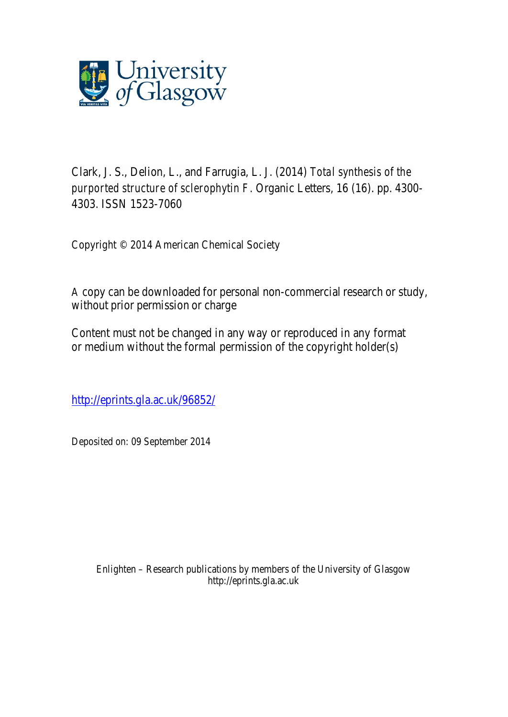

Clark, J. S., Delion, L., and Farrugia, L. J. (2014) *Total synthesis of the purported structure of sclerophytin F.* Organic Letters, 16 (16). pp. 4300- 4303. ISSN 1523-7060

Copyright © 2014 American Chemical Society

A copy can be downloaded for personal non-commercial research or study, without prior permission or charge

Content must not be changed in any way or reproduced in any format or medium without the formal permission of the copyright holder(s)

http://eprints.gla.ac.uk/96852/

Deposited on: 09 September 2014

Enlighten – Research publications by members of the University of Glasgow http://eprints.gla.ac.uk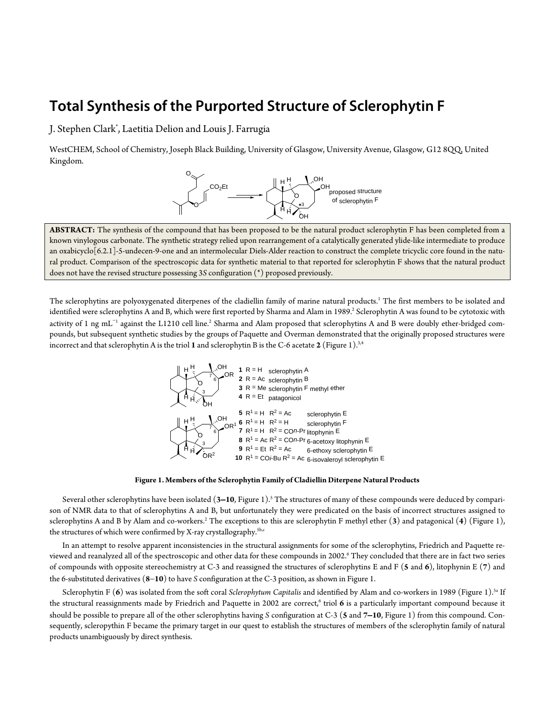# **Total Synthesis of the Purported Structure of Sclerophytin F**

J. Stephen Clark\* , Laetitia Delion and Louis J. Farrugia

WestCHEM, School of Chemistry, Joseph Black Building, University of Glasgow, University Avenue, Glasgow, G12 8QQ, United Kingdom.



**ABSTRACT:** The synthesis of the compound that has been proposed to be the natural product sclerophytin F has been completed from a known vinylogous carbonate. The synthetic strategy relied upon rearrangement of a catalytically generated ylide-like intermediate to produce an oxabicyclo[6.2.1]-5-undecen-9-one and an intermolecular Diels-Alder reaction to construct the complete tricyclic core found in the natural product. Comparison of the spectroscopic data for synthetic material to that reported for sclerophytin F shows that the natural product does not have the revised structure possessing 3*S* configuration (\*) proposed previously.

The sclerophytins are polyoxygenated diterpenes of the cladiellin family of marine natural products.<sup>1</sup> The first members to be isolated and identified were sclerophytins A and B, which were first reported by Sharma and Alam in 1989.<sup>2</sup> Sclerophytin A was found to be cytotoxic with activity of 1 ng mL<sup>−1</sup> against the L1210 cell line.<sup>2</sup> Sharma and Alam proposed that sclerophytins A and B were doubly ether-bridged compounds, but subsequent synthetic studies by the groups of Paquette and Overman demonstrated that the originally proposed structures were incorrect and that sclerophytin A is the triol **1** and sclerophytin B is the C-6 acetate **2** (Figure 1). 3,4



**Figure 1. Members of the Sclerophytin Family of Cladiellin Diterpene Natural Products**

Several other sclerophytins have been isolated (**3**−**10**, Figure 1).5 The structures of many of these compounds were deduced by comparison of NMR data to that of sclerophytins A and B, but unfortunately they were predicated on the basis of incorrect structures assigned to sclerophytins A and B by Alam and co-workers.2 The exceptions to this are sclerophytin F methyl ether (**3**) and patagonical (**4**) (Figure 1), the structures of which were confirmed by X-ray crystallography.<sup>5b,c</sup>

In an attempt to resolve apparent inconsistencies in the structural assignments for some of the sclerophytins, Friedrich and Paquette reviewed and reanalyzed all of the spectroscopic and other data for these compounds in 2002.6 They concluded that there are in fact two series of compounds with opposite stereochemistry at C-3 and reassigned the structures of sclerophytins E and F (**5** and **6**), litophynin E (**7**) and the 6-substituted derivatives (**8**−**10**) to have *S* configuration at the C-3 position, as shown in Figure 1.

Sclerophytin F (**6**) was isolated from the soft coral *Sclerophytum Capitalis* and identified by Alam and co-workers in 1989 (Figure 1). 5a If the structural reassignments made by Friedrich and Paquette in 2002 are correct,<sup>6</sup> triol 6 is a particularly important compound because it should be possible to prepare all of the other sclerophytins having *S* configuration at C-3 (**5** and **7**−**10**, Figure 1) from this compound. Consequently, scleropythin F became the primary target in our quest to establish the structures of members of the sclerophytin family of natural products unambiguously by direct synthesis.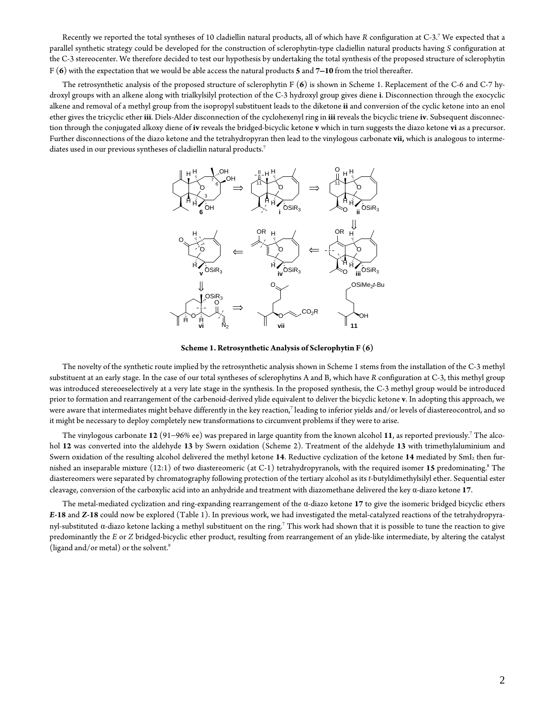Recently we reported the total syntheses of 10 cladiellin natural products, all of which have *R* configuration at C-3. <sup>7</sup> We expected that a parallel synthetic strategy could be developed for the construction of sclerophytin-type cladiellin natural products having *S* configuration at the C-3 stereocenter. We therefore decided to test our hypothesis by undertaking the total synthesis of the proposed structure of sclerophytin F (**6**) with the expectation that we would be able access the natural products **5** and **7**−**10** from the triol thereafter.

The retrosynthetic analysis of the proposed structure of sclerophytin F (**6**) is shown in Scheme 1. Replacement of the C-6 and C-7 hydroxyl groups with an alkene along with trialkylsilyl protection of the C-3 hydroxyl group gives diene **i**. Disconnection through the exocyclic alkene and removal of a methyl group from the isopropyl substituent leads to the diketone **ii** and conversion of the cyclic ketone into an enol ether gives the tricyclic ether **iii**. Diels-Alder disconnection of the cyclohexenyl ring in **iii** reveals the bicyclic triene **iv**. Subsequent disconnection through the conjugated alkoxy diene of **iv** reveals the bridged-bicyclic ketone **v** which in turn suggests the diazo ketone **vi** as a precursor. Further disconnections of the diazo ketone and the tetrahydropyran then lead to the vinylogous carbonate **vii,** which is analogous to intermediates used in our previous syntheses of cladiellin natural products.<sup>7</sup>



**Scheme 1. Retrosynthetic Analysis of Sclerophytin F (6)**

The novelty of the synthetic route implied by the retrosynthetic analysis shown in Scheme 1 stems from the installation of the C-3 methyl substituent at an early stage. In the case of our total syntheses of sclerophytins A and B, which have *R* configuration at C-3, this methyl group was introduced stereoeselectively at a very late stage in the synthesis. In the proposed synthesis, the C-3 methyl group would be introduced prior to formation and rearrangement of the carbenoid-derived ylide equivalent to deliver the bicyclic ketone **v**. In adopting this approach, we were aware that intermediates might behave differently in the key reaction,<sup>7</sup> leading to inferior yields and/or levels of diastereocontrol, and so it might be necessary to deploy completely new transformations to circumvent problems if they were to arise.

The vinylogous carbonate **12** (91−96% ee) was prepared in large quantity from the known alcohol **11**, as reported previously.7 The alcohol **12** was converted into the aldehyde **13** by Swern oxidation (Scheme 2). Treatment of the aldehyde **13** with trimethylaluminium and Swern oxidation of the resulting alcohol delivered the methyl ketone **14**. Reductive cyclization of the ketone **14** mediated by SmI2 then furnished an inseparable mixture (12:1) of two diastereomeric (at C-1) tetrahydropyranols, with the required isomer 15 predominating.<sup>8</sup> The diastereomers were separated by chromatography following protection of the tertiary alcohol as its *t*-butyldimethylsilyl ether. Sequential ester cleavage, conversion of the carboxylic acid into an anhydride and treatment with diazomethane delivered the key α-diazo ketone **17**.

The metal-mediated cyclization and ring-expanding rearrangement of the α-diazo ketone **17** to give the isomeric bridged bicyclic ethers *E***-18** and *Z***-18** could now be explored (Table 1). In previous work, we had investigated the metal-catalyzed reactions of the tetrahydropyranyl-substituted α-diazo ketone lacking a methyl substituent on the ring.7 This work had shown that it is possible to tune the reaction to give predominantly the *E* or *Z* bridged-bicyclic ether product, resulting from rearrangement of an ylide-like intermediate, by altering the catalyst (ligand and/or metal) or the solvent.9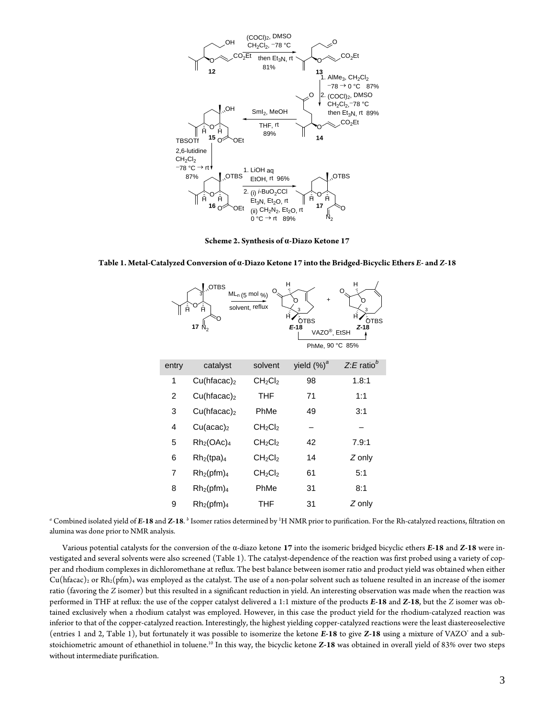

**Scheme 2. Synthesis of α-Diazo Ketone 17**

|  | Table 1. Metal-Catalyzed Conversion of α-Diazo Ketone 17 into the Bridged-Bicyclic Ethers E- and Z-18 |
|--|-------------------------------------------------------------------------------------------------------|
|  |                                                                                                       |



*<sup>a</sup>* Combined isolated yield of *E***-18** and *Z***-18**. *<sup>b</sup>* Isomer ratios determined by 1 H NMR prior to purification. For the Rh-catalyzed reactions, filtration on alumina was done prior to NMR analysis.

Various potential catalysts for the conversion of the α-diazo ketone **17** into the isomeric bridged bicyclic ethers *E***-18** and *Z***-18** were investigated and several solvents were also screened (Table 1). The catalyst-dependence of the reaction was first probed using a variety of copper and rhodium complexes in dichloromethane at reflux. The best balance between isomer ratio and product yield was obtained when either  $Cu(hfac)$ <sub>2</sub> or Rh<sub>2</sub>(pfm)<sub>4</sub> was employed as the catalyst. The use of a non-polar solvent such as toluene resulted in an increase of the isomer ratio (favoring the *Z* isomer) but this resulted in a significant reduction in yield. An interesting observation was made when the reaction was performed in THF at reflux: the use of the copper catalyst delivered a 1:1 mixture of the products *E***-18** and *Z***-18**, but the *Z* isomer was obtained exclusively when a rhodium catalyst was employed. However, in this case the product yield for the rhodium-catalyzed reaction was inferior to that of the copper-catalyzed reaction. Interestingly, the highest yielding copper-catalyzed reactions were the least diastereoselective (entries 1 and 2, Table 1), but fortunately it was possible to isomerize the ketone *E***-18** to give *Z***-18** using a mixture of VAZO® and a substoichiometric amount of ethanethiol in toluene.10 In this way, the bicyclic ketone *Z***-18** was obtained in overall yield of 83% over two steps without intermediate purification.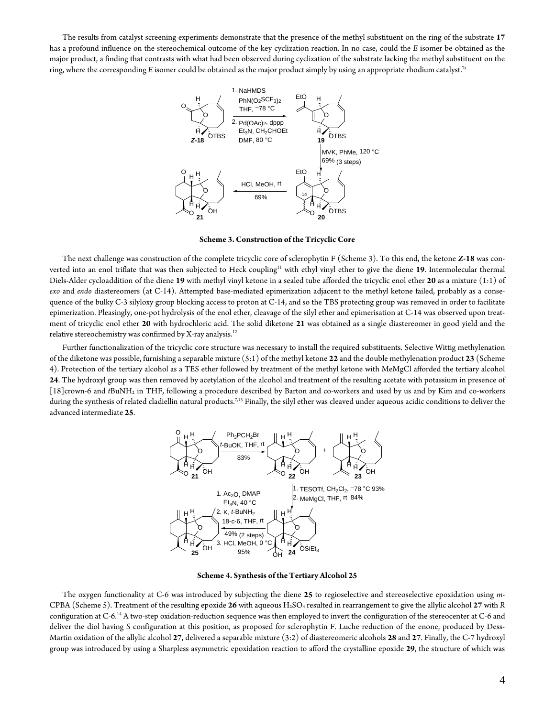The results from catalyst screening experiments demonstrate that the presence of the methyl substituent on the ring of the substrate **17** has a profound influence on the stereochemical outcome of the key cyclization reaction. In no case, could the *E* isomer be obtained as the major product, a finding that contrasts with what had been observed during cyclization of the substrate lacking the methyl substituent on the ring, where the corresponding *E* isomer could be obtained as the major product simply by using an appropriate rhodium catalyst.7a



**Scheme 3. Construction of the Tricyclic Core**

The next challenge was construction of the complete tricyclic core of sclerophytin F (Scheme 3). To this end, the ketone *Z***-18** was converted into an enol triflate that was then subjected to Heck coupling<sup>11</sup> with ethyl vinyl ether to give the diene 19. Intermolecular thermal Diels-Alder cycloaddition of the diene **19** with methyl vinyl ketone in a sealed tube afforded the tricyclic enol ether **20** as a mixture (1:1) of *exo* and *endo* diastereomers (at C-14). Attempted base-mediated epimerization adjacent to the methyl ketone failed, probably as a consequence of the bulky C-3 silyloxy group blocking access to proton at C-14, and so the TBS protecting group was removed in order to facilitate epimerization. Pleasingly, one-pot hydrolysis of the enol ether, cleavage of the silyl ether and epimerisation at C-14 was observed upon treatment of tricyclic enol ether **20** with hydrochloric acid. The solid diketone **21** was obtained as a single diastereomer in good yield and the relative stereochemistry was confirmed by X-ray analysis. 12

Further functionalization of the tricyclic core structure was necessary to install the required substituents. Selective Wittig methylenation of the diketone was possible, furnishing a separable mixture (5:1) of the methyl ketone **22** and the double methylenation product **23** (Scheme 4). Protection of the tertiary alcohol as a TES ether followed by treatment of the methyl ketone with MeMgCl afforded the tertiary alcohol **24**. The hydroxyl group was then removed by acetylation of the alcohol and treatment of the resulting acetate with potassium in presence of [18]crown-6 and *t*BuNH2 in THF, following a procedure described by Barton and co-workers and used by us and by Kim and co-workers during the synthesis of related cladiellin natural products.<sup>7,13</sup> Finally, the silyl ether was cleaved under aqueous acidic conditions to deliver the advanced intermediate **25**.



**Scheme 4. Synthesis of the Tertiary Alcohol 25**

The oxygen functionality at C-6 was introduced by subjecting the diene **25** to regioselective and stereoselective epoxidation using *m*-CPBA (Scheme 5). Treatment of the resulting epoxide **26** with aqueous H2SO4 resulted in rearrangement to give the allylic alcohol **27** with *R* configuration at C-6. <sup>14</sup> A two-step oxidation-reduction sequence was then employed to invert the configuration of the stereocenter at C-6 and deliver the diol having *S* configuration at this position, as proposed for sclerophytin F. Luche reduction of the enone, produced by Dess-Martin oxidation of the allylic alcohol **27**, delivered a separable mixture (3:2) of diastereomeric alcohols **28** and **27**. Finally, the C-7 hydroxyl group was introduced by using a Sharpless asymmetric epoxidation reaction to afford the crystalline epoxide **29**, the structure of which was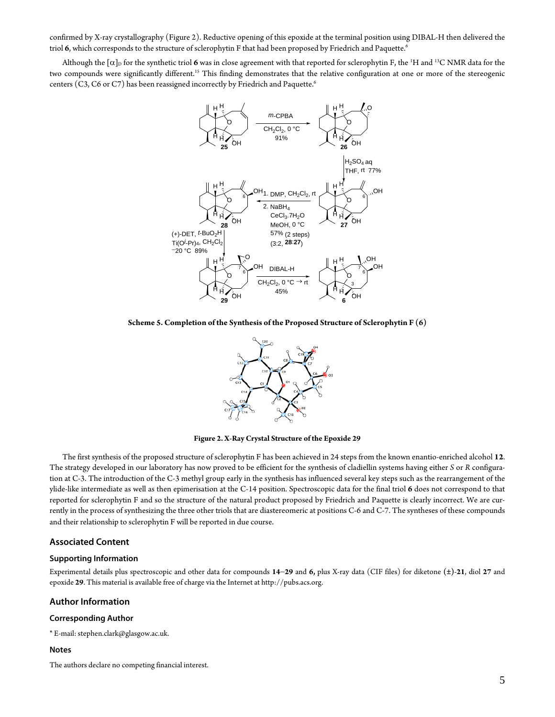confirmed by X-ray crystallography (Figure 2). Reductive opening of this epoxide at the terminal position using DIBAL-H then delivered the triol 6, which corresponds to the structure of sclerophytin F that had been proposed by Friedrich and Paquette.<sup>6</sup>

Although the  $[\alpha]_D$  for the synthetic triol  $6$  was in close agreement with that reported for sclerophytin F, the  $^1\rm H$  and  $^{13}\rm C$  NMR data for the two compounds were significantly different.<sup>15</sup> This finding demonstrates that the relative configuration at one or more of the stereogenic centers (C3, C6 or C7) has been reassigned incorrectly by Friedrich and Paquette.<sup>6</sup>



**Scheme 5. Completion of the Synthesis of the Proposed Structure of Sclerophytin F (6)**



**Figure 2. X-Ray Crystal Structure of the Epoxide 29**

The first synthesis of the proposed structure of sclerophytin F has been achieved in 24 steps from the known enantio-enriched alcohol **12**. The strategy developed in our laboratory has now proved to be efficient for the synthesis of cladiellin systems having either *S* or *R* configuration at C-3. The introduction of the C-3 methyl group early in the synthesis has influenced several key steps such as the rearrangement of the ylide-like intermediate as well as then epimerisation at the C-14 position. Spectroscopic data for the final triol **6** does not correspond to that reported for sclerophytin F and so the structure of the natural product proposed by Friedrich and Paquette is clearly incorrect. We are currently in the process of synthesizing the three other triols that are diastereomeric at positions C-6 and C-7. The syntheses of these compounds and their relationship to sclerophytin F will be reported in due course.

#### **Associated Content**

#### **Supporting Information**

Experimental details plus spectroscopic and other data for compounds **14**−**29** and **6,** plus X-ray data (CIF files) for diketone **(±)**-**21**, diol **27** and epoxide **29**. This material is available free of charge via the Internet a[t http://pubs.acs.org.](http://pubs.acs.org/)

#### **Author Information**

#### **Corresponding Author**

\* E-mail: stephen.clark@glasgow.ac.uk.

#### **Notes**

The authors declare no competing financial interest.